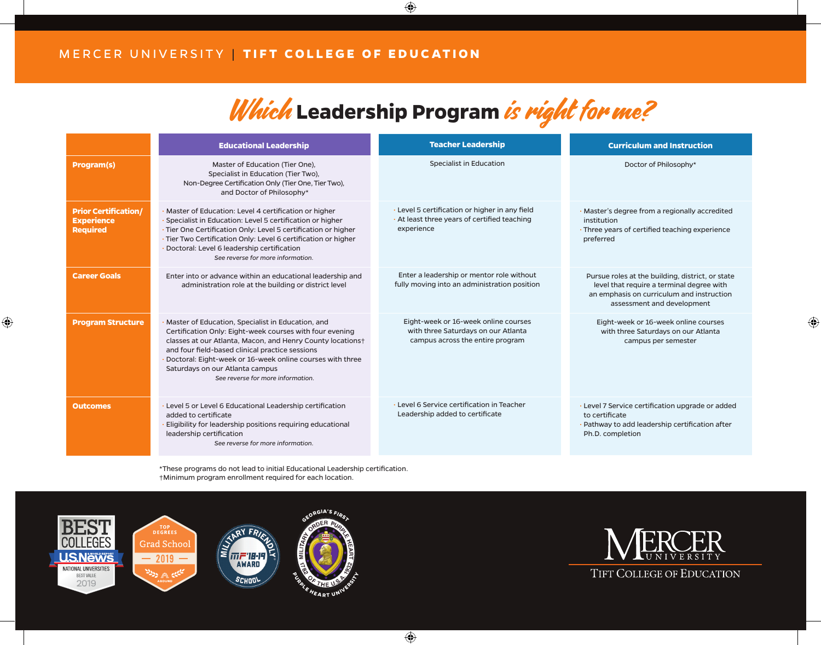## Which Leadership Program is right for me?

|                                                                     | <b>Educational Leadership</b>                                                                                                                                                                                                                                                                                                                                       | <b>Teacher Leadership</b>                                                                                       | <b>Curriculum and Instruction</b>                                                                                                                                        |
|---------------------------------------------------------------------|---------------------------------------------------------------------------------------------------------------------------------------------------------------------------------------------------------------------------------------------------------------------------------------------------------------------------------------------------------------------|-----------------------------------------------------------------------------------------------------------------|--------------------------------------------------------------------------------------------------------------------------------------------------------------------------|
| <b>Program(s)</b>                                                   | Master of Education (Tier One),<br>Specialist in Education (Tier Two),<br>Non-Degree Certification Only (Tier One, Tier Two),<br>and Doctor of Philosophy*                                                                                                                                                                                                          | Specialist in Education                                                                                         | Doctor of Philosophy*                                                                                                                                                    |
| <b>Prior Certification/</b><br><b>Experience</b><br><b>Required</b> | Master of Education: Level 4 certification or higher<br>Specialist in Education: Level 5 certification or higher<br>Tier One Certification Only: Level 5 certification or higher<br>Tier Two Certification Only: Level 6 certification or higher<br>Doctoral: Level 6 leadership certification<br>See reverse for more information.                                 | · Level 5 certification or higher in any field<br>. At least three years of certified teaching<br>experience    | · Master's degree from a regionally accredited<br>institution<br>· Three years of certified teaching experience<br>preferred                                             |
| <b>Career Goals</b>                                                 | Enter into or advance within an educational leadership and<br>administration role at the building or district level                                                                                                                                                                                                                                                 | Enter a leadership or mentor role without<br>fully moving into an administration position                       | Pursue roles at the building, district, or state<br>level that require a terminal degree with<br>an emphasis on curriculum and instruction<br>assessment and development |
| <b>Program Structure</b>                                            | Master of Education, Specialist in Education, and<br>Certification Only: Eight-week courses with four evening<br>classes at our Atlanta, Macon, and Henry County locations+<br>and four field-based clinical practice sessions<br>Doctoral: Eight-week or 16-week online courses with three<br>Saturdays on our Atlanta campus<br>See reverse for more information. | Eight-week or 16-week online courses<br>with three Saturdays on our Atlanta<br>campus across the entire program | Eight-week or 16-week online courses<br>with three Saturdays on our Atlanta<br>campus per semester                                                                       |
| <b>Outcomes</b>                                                     | Level 5 or Level 6 Educational Leadership certification<br>added to certificate<br>Eligibility for leadership positions requiring educational<br>leadership certification<br>See reverse for more information.                                                                                                                                                      | • Level 6 Service certification in Teacher<br>Leadership added to certificate                                   | · Level 7 Service certification upgrade or added<br>to certificate<br>Pathway to add leadership certification after<br>Ph.D. completion                                  |

\*These programs do not lead to initial Educational Leadership certification. †Minimum program enrollment required for each location.